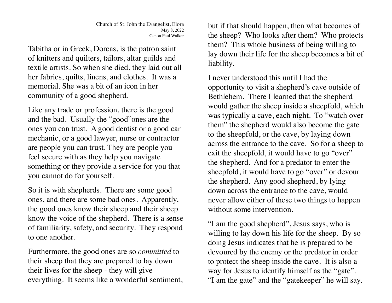Tabitha or in Greek, Dorcas, is the patron saint of knitters and quilters, tailors, altar guilds and textile artists. So when she died, they laid out all her fabrics, quilts, linens, and clothes. It was a memorial. She was a bit of an icon in her community of a good shepherd.

Like any trade or profession, there is the good and the bad. Usually the "good"ones are the ones you can trust. A good dentist or a good car mechanic, or a good lawyer, nurse or contractor are people you can trust. They are people you feel secure with as they help you navigate something or they provide a service for you that you cannot do for yourself.

So it is with shepherds. There are some good ones, and there are some bad ones. Apparently, the good ones know their sheep and their sheep know the voice of the shepherd. There is a sense of familiarity, safety, and security. They respond to one another.

Furthermore, the good ones are so *committed* to their sheep that they are prepared to lay down their lives for the sheep - they will give everything. It seems like a wonderful sentiment, but if that should happen, then what becomes of the sheep? Who looks after them? Who protects them? This whole business of being willing to lay down their life for the sheep becomes a bit of liability.

I never understood this until I had the opportunity to visit a shepherd's cave outside of Bethlehem. There I learned that the shepherd would gather the sheep inside a sheepfold, which was typically a cave, each night. To "watch over them" the shepherd would also become the gate to the sheepfold, or the cave, by laying down across the entrance to the cave. So for a sheep to exit the sheepfold, it would have to go "over" the shepherd. And for a predator to enter the sheepfold, it would have to go "over" or devour the shepherd. Any good shepherd, by lying down across the entrance to the cave, would never allow either of these two things to happen without some intervention

"I am the good shepherd", Jesus says, who is willing to lay down his life for the sheep. By so doing Jesus indicates that he is prepared to be devoured by the enemy or the predator in order to protect the sheep inside the cave. It is also a way for Jesus to identify himself as the "gate". "I am the gate" and the "gatekeeper" he will say.